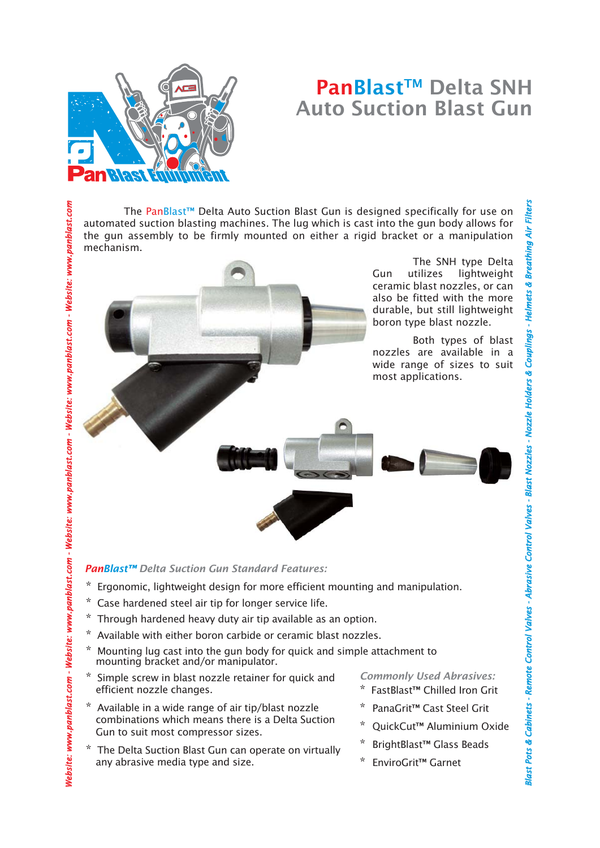# PanBlast™ Delta SNH Auto Suction Blast Gun

The PanBlast™ Delta Auto Suction Blast Gun is designed specifically for use on automated suction blasting machines. The lug which is cast into the gun body allows for the gun assembly to be firmly mounted on either a rigid bracket or a manipulation mechanism.

> The SNH type Delta Gun utilizes lightweight ceramic blast nozzles, or can also be fitted with the more durable, but still lightweight boron type blast nozzle.

Both types of blast nozzles are available in a wide range of sizes to suit most applications.



#### *PanBlast™ Delta Suction Gun Standard Features:*

- \* Ergonomic, lightweight design for more efficient mounting and manipulation.
- \* Case hardened steel air tip for longer service life.
- Through hardened heavy duty air tip available as an option.
- Available with either boron carbide or ceramic blast nozzles.
- Mounting lug cast into the gun body for quick and simple attachment to mounting bracket and/or manipulator.
- Simple screw in blast nozzle retainer for quick and efficient nozzle changes.
- \* Available in a wide range of air tip/blast nozzle combinations which means there is a Delta Suction Gun to suit most compressor sizes.
- \* The Delta Suction Blast Gun can operate on virtually any abrasive media type and size.

### *Commonly Used Abrasives:*

- FastBlast™ Chilled Iron Grit
- PanaGrit™ Cast Steel Grit
- QuickCut™ Aluminium Oxide

**Blast Pots & Cabinets -**

Slast Pots & Cabinets - Remote Control Valves - Abrasive Control Valves - Blast Nozzles - N

*binets Remote Control Valves - Abrasive Control Valves - Blast Nozzles - Nozzle Holders & Couplings - Helmets & Breathing Air Filters A*

*brasive* 

 $ozz/e$  Hol

ers & Couplings -

mets & Breathing Air Filte

- BrightBlast™ Glass Beads
- EnviroGrit<sup>™</sup> Garnet

**an Riast**